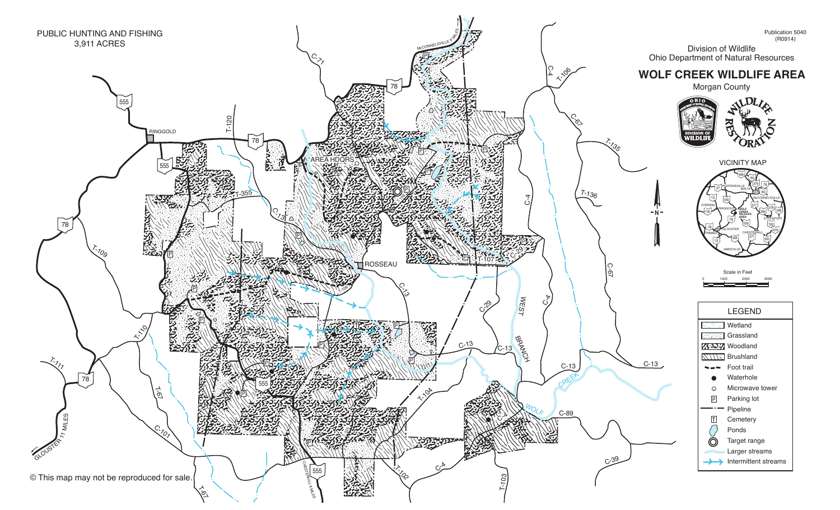